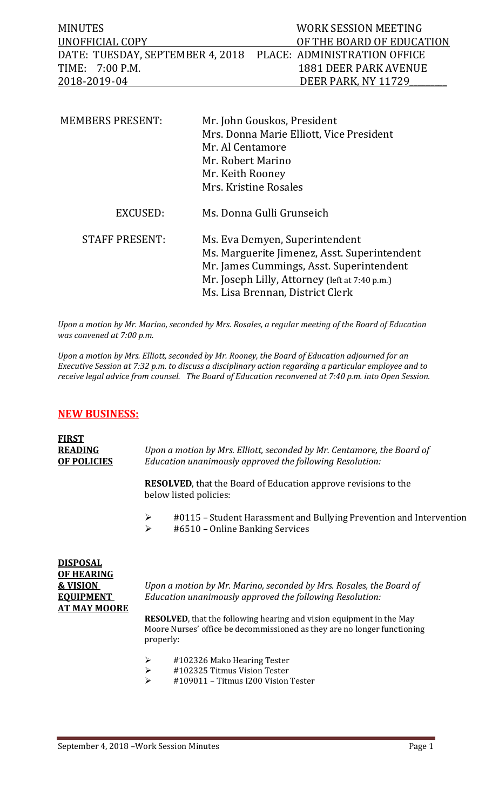| <b>MINUTES</b>                                                | WORK SESSION MEETING      |
|---------------------------------------------------------------|---------------------------|
| UNOFFICIAL COPY                                               | OF THE BOARD OF EDUCATION |
| DATE: TUESDAY, SEPTEMBER 4, 2018 PLACE: ADMINISTRATION OFFICE |                           |
| TIME: 7:00 P.M.                                               | 1881 DEER PARK AVENUE     |
| 2018-2019-04                                                  | DEER PARK. NY 11729       |

| <b>MEMBERS PRESENT:</b> | Mr. John Gouskos, President<br>Mrs. Donna Marie Elliott, Vice President<br>Mr. Al Centamore<br>Mr. Robert Marino<br>Mr. Keith Rooney<br>Mrs. Kristine Rosales                                                    |
|-------------------------|------------------------------------------------------------------------------------------------------------------------------------------------------------------------------------------------------------------|
| EXCUSED:                | Ms. Donna Gulli Grunseich                                                                                                                                                                                        |
| <b>STAFF PRESENT:</b>   | Ms. Eva Demyen, Superintendent<br>Ms. Marguerite Jimenez, Asst. Superintendent<br>Mr. James Cummings, Asst. Superintendent<br>Mr. Joseph Lilly, Attorney (left at 7:40 p.m.)<br>Ms. Lisa Brennan, District Clerk |

*Upon a motion by Mr. Marino, seconded by Mrs. Rosales, a regular meeting of the Board of Education was convened at 7:00 p.m.*

*Upon a motion by Mrs. Elliott, seconded by Mr. Rooney, the Board of Education adjourned for an Executive Session at 7:32 p.m. to discuss a disciplinary action regarding a particular employee and to receive legal advice from counsel. The Board of Education reconvened at 7:40 p.m. into Open Session.* 

#### **NEW BUSINESS:**

| <b>FIRST</b><br><b>READING</b><br><b>OF POLICIES</b>        | Upon a motion by Mrs. Elliott, seconded by Mr. Centamore, the Board of<br>Education unanimously approved the following Resolution:                                                                                                |  |
|-------------------------------------------------------------|-----------------------------------------------------------------------------------------------------------------------------------------------------------------------------------------------------------------------------------|--|
|                                                             | <b>RESOLVED</b> , that the Board of Education approve revisions to the<br>below listed policies:                                                                                                                                  |  |
|                                                             | $\blacktriangleright$<br>#0115 – Student Harassment and Bullying Prevention and Intervention<br>$\blacktriangleright$<br>#6510 - Online Banking Services                                                                          |  |
| <b>DISPOSAL</b><br><b>OF HEARING</b><br><b>&amp; VISION</b> | Upon a motion by Mr. Marino, seconded by Mrs. Rosales, the Board of                                                                                                                                                               |  |
| <b>EQUIPMENT</b><br><b>AT MAY MOORE</b>                     | Education unanimously approved the following Resolution:<br><b>RESOLVED</b> , that the following hearing and vision equipment in the May<br>Moore Nurses' office be decommissioned as they are no longer functioning<br>properly: |  |

- $\ge$  #102326 Mako Hearing Tester<br> $\ge$  #102325 Titmus Vision Tester
- $\ge$  #102325 Titmus Vision Tester<br> $\ge$  #109011 Titmus I200 Vision
- #109011 Titmus I200 Vision Tester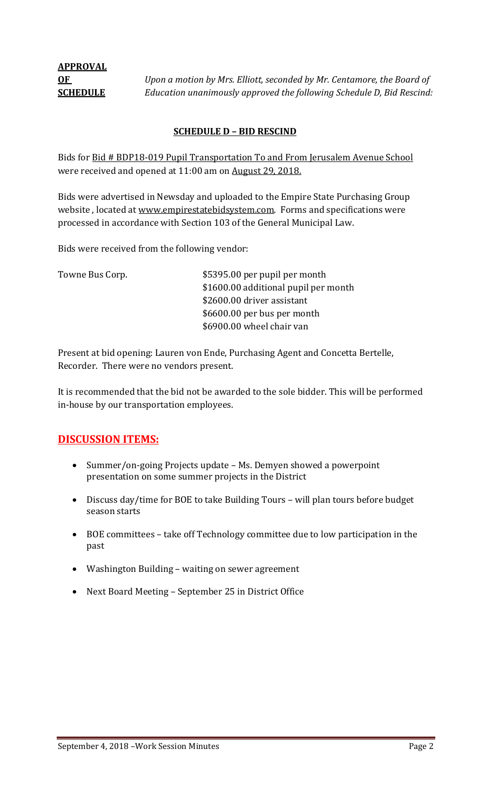**OF** *Upon a motion by Mrs. Elliott, seconded by Mr. Centamore, the Board of* **SCHEDULE** *Education unanimously approved the following Schedule D, Bid Rescind:*

#### **SCHEDULE D – BID RESCIND**

Bids for Bid # BDP18-019 Pupil Transportation To and From Jerusalem Avenue School were received and opened at 11:00 am on August 29, 2018.

Bids were advertised in Newsday and uploaded to the Empire State Purchasing Group website, located at [www.empirestatebidsystem.com.](http://www.empirestatebidsystem.com/) Forms and specifications were processed in accordance with Section 103 of the General Municipal Law.

Bids were received from the following vendor:

Towne Bus Corp.  $$5395.00$  per pupil per month \$1600.00 additional pupil per month \$2600.00 driver assistant \$6600.00 per bus per month \$6900.00 wheel chair van

Present at bid opening: Lauren von Ende, Purchasing Agent and Concetta Bertelle, Recorder. There were no vendors present.

It is recommended that the bid not be awarded to the sole bidder. This will be performed in-house by our transportation employees.

## **DISCUSSION ITEMS:**

- Summer/on-going Projects update Ms. Demyen showed a powerpoint presentation on some summer projects in the District
- Discuss day/time for BOE to take Building Tours will plan tours before budget season starts
- BOE committees take off Technology committee due to low participation in the past
- Washington Building waiting on sewer agreement
- Next Board Meeting September 25 in District Office